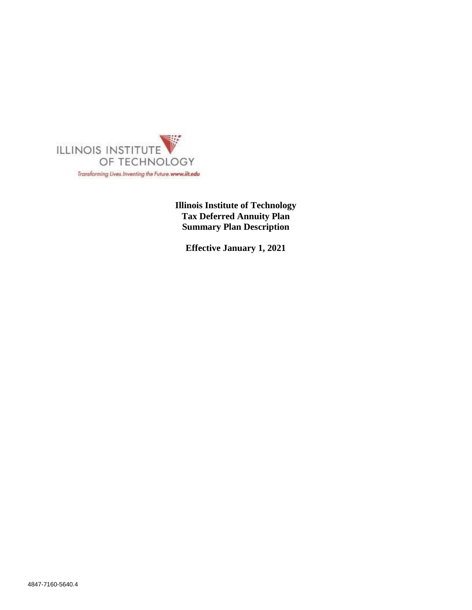

**Illinois Institute of Technology Tax Deferred Annuity Plan Summary Plan Description**

**Effective January 1, 2021**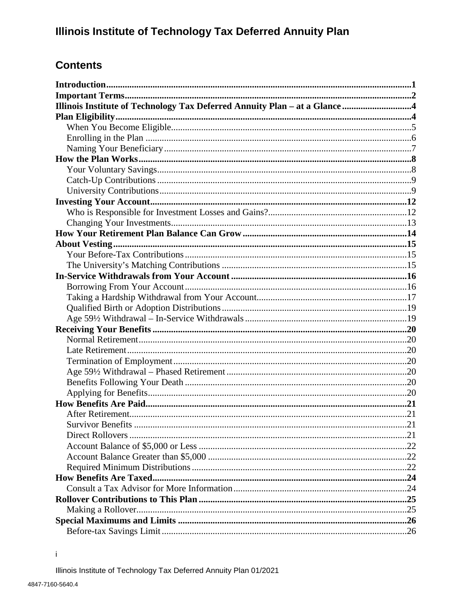# **Contents**

| <b>Survivor Benefits</b> |  |
|--------------------------|--|
|                          |  |
|                          |  |
|                          |  |
|                          |  |
|                          |  |
|                          |  |
|                          |  |
|                          |  |
|                          |  |
|                          |  |

 $\mathbf i$ 

Illinois Institute of Technology Tax Deferred Annuity Plan 01/2021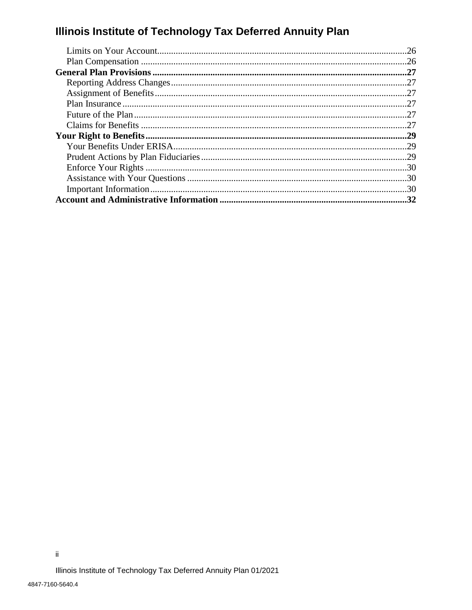| .26 |
|-----|
|     |
|     |
|     |
|     |
|     |
|     |
|     |
|     |
|     |
|     |
|     |
|     |
|     |
|     |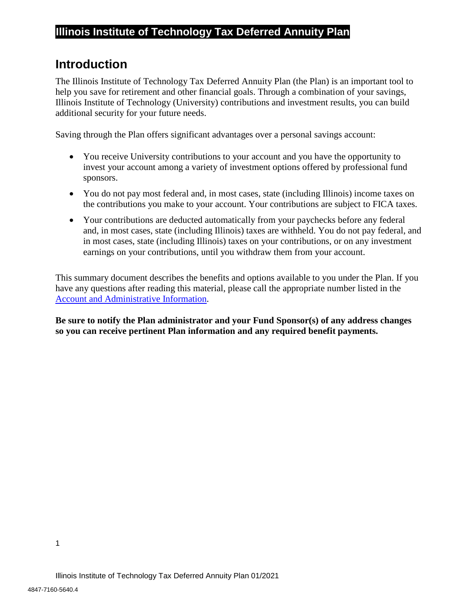# <span id="page-3-0"></span>**Introduction**

The Illinois Institute of Technology Tax Deferred Annuity Plan (the Plan) is an important tool to help you save for retirement and other financial goals. Through a combination of your savings, Illinois Institute of Technology (University) contributions and investment results, you can build additional security for your future needs.

Saving through the Plan offers significant advantages over a personal savings account:

- You receive University contributions to your account and you have the opportunity to invest your account among a variety of investment options offered by professional fund sponsors.
- You do not pay most federal and, in most cases, state (including Illinois) income taxes on the contributions you make to your account. Your contributions are subject to FICA taxes.
- Your contributions are deducted automatically from your paychecks before any federal and, in most cases, state (including Illinois) taxes are withheld. You do not pay federal, and in most cases, state (including Illinois) taxes on your contributions, or on any investment earnings on your contributions, until you withdraw them from your account.

This summary document describes the benefits and options available to you under the Plan. If you have any questions after reading this material, please call the appropriate number listed in the [Account and Administrative Information.](#page-34-0)

**Be sure to notify the Plan administrator and your Fund Sponsor(s) of any address changes so you can receive pertinent Plan information and any required benefit payments.**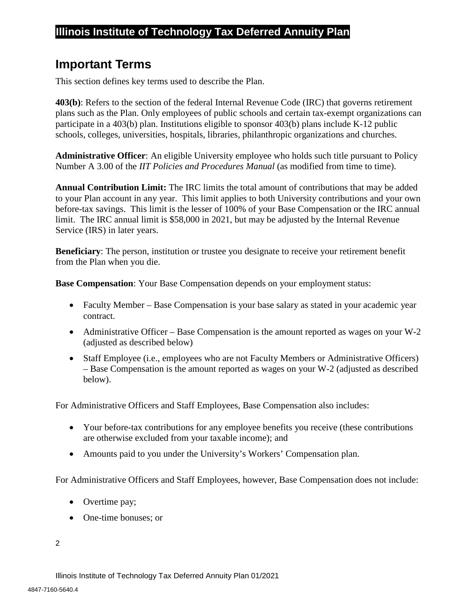## <span id="page-4-0"></span>**Important Terms**

This section defines key terms used to describe the Plan.

**403(b)**: Refers to the section of the federal Internal Revenue Code (IRC) that governs retirement plans such as the Plan. Only employees of public schools and certain tax-exempt organizations can participate in a 403(b) plan. Institutions eligible to sponsor 403(b) plans include K-12 public schools, colleges, universities, hospitals, libraries, philanthropic organizations and churches.

**Administrative Officer**: An eligible University employee who holds such title pursuant to Policy Number A 3.00 of the *IIT Policies and Procedures Manual* (as modified from time to time).

**Annual Contribution Limit:** The IRC limits the total amount of contributions that may be added to your Plan account in any year. This limit applies to both University contributions and your own before-tax savings. This limit is the lesser of 100% of your Base Compensation or the IRC annual limit. The IRC annual limit is \$58,000 in 2021, but may be adjusted by the Internal Revenue Service (IRS) in later years.

**Beneficiary:** The person, institution or trustee you designate to receive your retirement benefit from the Plan when you die.

**Base Compensation**: Your Base Compensation depends on your employment status:

- Faculty Member Base Compensation is your base salary as stated in your academic year contract.
- Administrative Officer Base Compensation is the amount reported as wages on your W-2 (adjusted as described below)
- Staff Employee (i.e., employees who are not Faculty Members or Administrative Officers) – Base Compensation is the amount reported as wages on your W-2 (adjusted as described below).

For Administrative Officers and Staff Employees, Base Compensation also includes:

- Your before-tax contributions for any employee benefits you receive (these contributions are otherwise excluded from your taxable income); and
- Amounts paid to you under the University's Workers' Compensation plan.

For Administrative Officers and Staff Employees, however, Base Compensation does not include:

- Overtime pay;
- One-time bonuses; or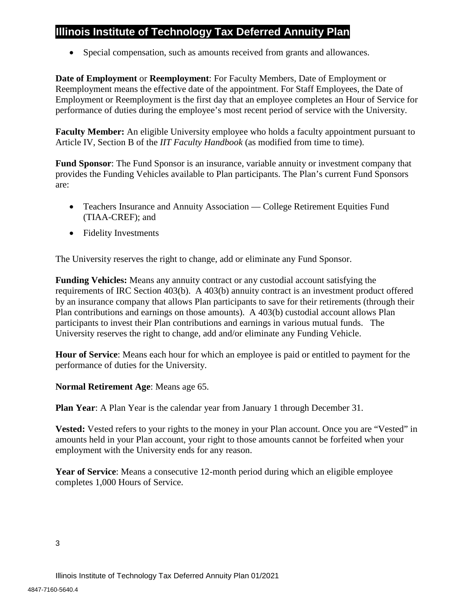• Special compensation, such as amounts received from grants and allowances.

**Date of Employment** or **Reemployment**: For Faculty Members, Date of Employment or Reemployment means the effective date of the appointment. For Staff Employees, the Date of Employment or Reemployment is the first day that an employee completes an Hour of Service for performance of duties during the employee's most recent period of service with the University.

**Faculty Member:** An eligible University employee who holds a faculty appointment pursuant to Article IV, Section B of the *IIT Faculty Handbook* (as modified from time to time).

**Fund Sponsor**: The Fund Sponsor is an insurance, variable annuity or investment company that provides the Funding Vehicles available to Plan participants. The Plan's current Fund Sponsors are:

- Teachers Insurance and Annuity Association College Retirement Equities Fund (TIAA-CREF); and
- Fidelity Investments

The University reserves the right to change, add or eliminate any Fund Sponsor.

**Funding Vehicles:** Means any annuity contract or any custodial account satisfying the requirements of IRC Section 403(b). A 403(b) annuity contract is an investment product offered by an insurance company that allows Plan participants to save for their retirements (through their Plan contributions and earnings on those amounts). A 403(b) custodial account allows Plan participants to invest their Plan contributions and earnings in various mutual funds. The University reserves the right to change, add and/or eliminate any Funding Vehicle.

**Hour of Service**: Means each hour for which an employee is paid or entitled to payment for the performance of duties for the University.

**Normal Retirement Age**: Means age 65.

**Plan Year**: A Plan Year is the calendar year from January 1 through December 31.

**Vested:** Vested refers to your rights to the money in your Plan account. Once you are "Vested" in amounts held in your Plan account, your right to those amounts cannot be forfeited when your employment with the University ends for any reason.

**Year of Service**: Means a consecutive 12-month period during which an eligible employee completes 1,000 Hours of Service.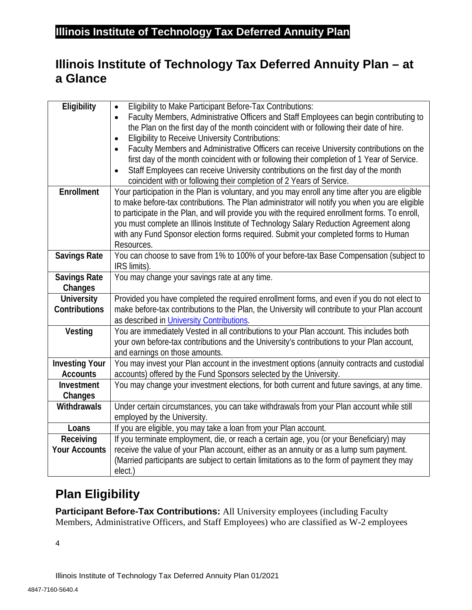# <span id="page-6-0"></span>**Illinois Institute of Technology Tax Deferred Annuity Plan – at a Glance**

| Eligibility           | Eligibility to Make Participant Before-Tax Contributions:<br>$\bullet$                              |
|-----------------------|-----------------------------------------------------------------------------------------------------|
|                       | Faculty Members, Administrative Officers and Staff Employees can begin contributing to<br>$\bullet$ |
|                       | the Plan on the first day of the month coincident with or following their date of hire.             |
|                       | <b>Eligibility to Receive University Contributions:</b><br>$\bullet$                                |
|                       | Faculty Members and Administrative Officers can receive University contributions on the             |
|                       | first day of the month coincident with or following their completion of 1 Year of Service.          |
|                       | Staff Employees can receive University contributions on the first day of the month                  |
|                       | coincident with or following their completion of 2 Years of Service.                                |
| Enrollment            | Your participation in the Plan is voluntary, and you may enroll any time after you are eligible     |
|                       | to make before-tax contributions. The Plan administrator will notify you when you are eligible      |
|                       | to participate in the Plan, and will provide you with the required enrollment forms. To enroll,     |
|                       | you must complete an Illinois Institute of Technology Salary Reduction Agreement along              |
|                       | with any Fund Sponsor election forms required. Submit your completed forms to Human                 |
|                       | Resources.                                                                                          |
| <b>Savings Rate</b>   | You can choose to save from 1% to 100% of your before-tax Base Compensation (subject to             |
|                       | IRS limits).                                                                                        |
| <b>Savings Rate</b>   | You may change your savings rate at any time.                                                       |
| Changes               |                                                                                                     |
| <b>University</b>     | Provided you have completed the required enrollment forms, and even if you do not elect to          |
| Contributions         | make before-tax contributions to the Plan, the University will contribute to your Plan account      |
|                       | as described in University Contributions.                                                           |
| Vesting               | You are immediately Vested in all contributions to your Plan account. This includes both            |
|                       | your own before-tax contributions and the University's contributions to your Plan account,          |
|                       | and earnings on those amounts.                                                                      |
| <b>Investing Your</b> | You may invest your Plan account in the investment options (annuity contracts and custodial         |
| <b>Accounts</b>       | accounts) offered by the Fund Sponsors selected by the University.                                  |
| Investment            | You may change your investment elections, for both current and future savings, at any time.         |
| Changes               |                                                                                                     |
| Withdrawals           | Under certain circumstances, you can take withdrawals from your Plan account while still            |
|                       | employed by the University.                                                                         |
| Loans                 | If you are eligible, you may take a loan from your Plan account.                                    |
| Receiving             | If you terminate employment, die, or reach a certain age, you (or your Beneficiary) may             |
| <b>Your Accounts</b>  | receive the value of your Plan account, either as an annuity or as a lump sum payment.              |
|                       | (Married participants are subject to certain limitations as to the form of payment they may         |
|                       | elect.)                                                                                             |

# <span id="page-6-2"></span><span id="page-6-1"></span>**[Plan Eligibility](#page-6-2)**

**Participant Before-Tax Contributions:** All University employees (including Faculty Members, Administrative Officers, and Staff Employees) who are classified as W-2 employees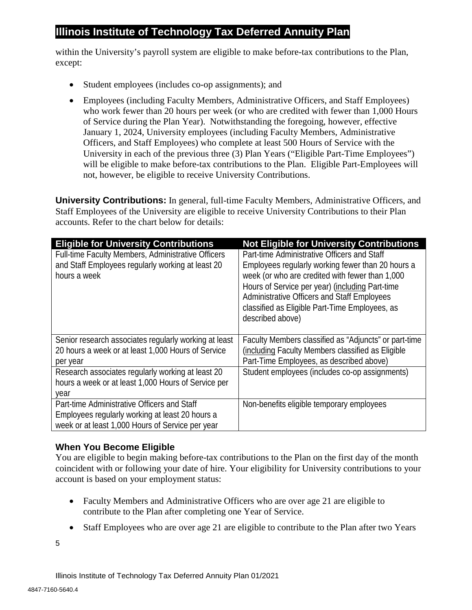within the University's payroll system are eligible to make before-tax contributions to the Plan, except:

- Student employees (includes co-op assignments); and
- Employees (including Faculty Members, Administrative Officers, and Staff Employees) who work fewer than 20 hours per week (or who are credited with fewer than 1,000 Hours of Service during the Plan Year). Notwithstanding the foregoing, however, effective January 1, 2024, University employees (including Faculty Members, Administrative Officers, and Staff Employees) who complete at least 500 Hours of Service with the University in each of the previous three (3) Plan Years ("Eligible Part-Time Employees") will be eligible to make before-tax contributions to the Plan. Eligible Part-Employees will not, however, be eligible to receive University Contributions.

**University Contributions:** In general, full-time Faculty Members, Administrative Officers, and Staff Employees of the University are eligible to receive University Contributions to their Plan accounts. Refer to the chart below for details:

| <b>Eligible for University Contributions</b>                                                                                                       | <b>Not Eligible for University Contributions</b>                                                                                                                                                                                                                                                                            |
|----------------------------------------------------------------------------------------------------------------------------------------------------|-----------------------------------------------------------------------------------------------------------------------------------------------------------------------------------------------------------------------------------------------------------------------------------------------------------------------------|
| Full-time Faculty Members, Administrative Officers<br>and Staff Employees regularly working at least 20<br>hours a week                            | Part-time Administrative Officers and Staff<br>Employees regularly working fewer than 20 hours a<br>week (or who are credited with fewer than 1,000<br>Hours of Service per year) (including Part-time<br>Administrative Officers and Staff Employees<br>classified as Eligible Part-Time Employees, as<br>described above) |
| Senior research associates regularly working at least<br>20 hours a week or at least 1,000 Hours of Service<br>per year                            | Faculty Members classified as "Adjuncts" or part-time<br>(including Faculty Members classified as Eligible<br>Part-Time Employees, as described above)                                                                                                                                                                      |
| Research associates regularly working at least 20<br>hours a week or at least 1,000 Hours of Service per<br>vear                                   | Student employees (includes co-op assignments)                                                                                                                                                                                                                                                                              |
| Part-time Administrative Officers and Staff<br>Employees regularly working at least 20 hours a<br>week or at least 1,000 Hours of Service per year | Non-benefits eligible temporary employees                                                                                                                                                                                                                                                                                   |

## <span id="page-7-0"></span>**When You Become Eligible**

You are eligible to begin making before-tax contributions to the Plan on the first day of the month coincident with or following your date of hire. Your eligibility for University contributions to your account is based on your employment status:

- Faculty Members and Administrative Officers who are over age 21 are eligible to contribute to the Plan after completing one Year of Service.
- Staff Employees who are over age 21 are eligible to contribute to the Plan after two Years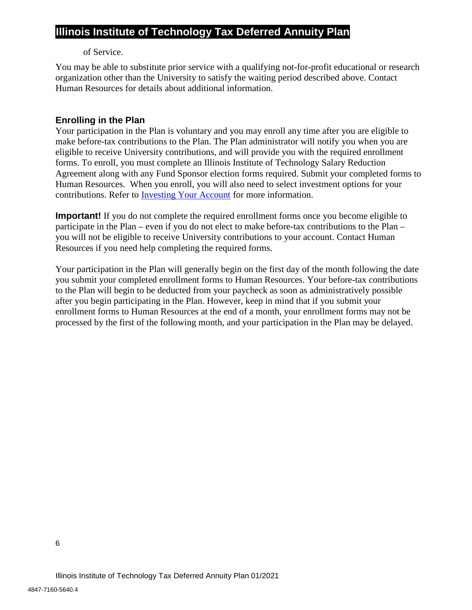#### of Service.

You may be able to substitute prior service with a qualifying not-for-profit educational or research organization other than the University to satisfy the waiting period described above. Contact Human Resources for details about additional information.

## <span id="page-8-0"></span>**Enrolling in the Plan**

Your participation in the Plan is voluntary and you may enroll any time after you are eligible to make before-tax contributions to the Plan. The Plan administrator will notify you when you are eligible to receive University contributions, and will provide you with the required enrollment forms. To enroll, you must complete an Illinois Institute of Technology Salary Reduction Agreement along with any Fund Sponsor election forms required. Submit your completed forms to Human Resources. When you enroll, you will also need to select investment options for your contributions. Refer to [Investing Your Account](#page-14-0) for more information.

**Important!** If you do not complete the required enrollment forms once you become eligible to participate in the Plan – even if you do not elect to make before-tax contributions to the Plan – you will not be eligible to receive University contributions to your account. Contact Human Resources if you need help completing the required forms.

Your participation in the Plan will generally begin on the first day of the month following the date you submit your completed enrollment forms to Human Resources. Your before-tax contributions to the Plan will begin to be deducted from your paycheck as soon as administratively possible after you begin participating in the Plan. However, keep in mind that if you submit your enrollment forms to Human Resources at the end of a month, your enrollment forms may not be processed by the first of the following month, and your participation in the Plan may be delayed.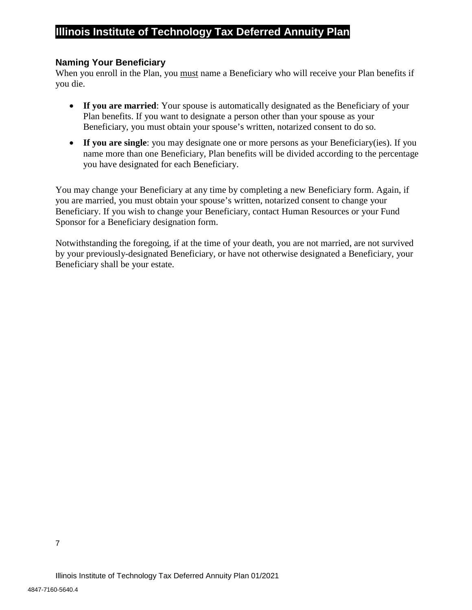#### <span id="page-9-0"></span>**Naming Your Beneficiary**

When you enroll in the Plan, you must name a Beneficiary who will receive your Plan benefits if you die.

- **If you are married**: Your spouse is automatically designated as the Beneficiary of your Plan benefits. If you want to designate a person other than your spouse as your Beneficiary, you must obtain your spouse's written, notarized consent to do so.
- If you are single: you may designate one or more persons as your Beneficiary(ies). If you name more than one Beneficiary, Plan benefits will be divided according to the percentage you have designated for each Beneficiary.

You may change your Beneficiary at any time by completing a new Beneficiary form. Again, if you are married, you must obtain your spouse's written, notarized consent to change your Beneficiary. If you wish to change your Beneficiary, contact Human Resources or your Fund Sponsor for a Beneficiary designation form.

Notwithstanding the foregoing, if at the time of your death, you are not married, are not survived by your previously-designated Beneficiary, or have not otherwise designated a Beneficiary, your Beneficiary shall be your estate.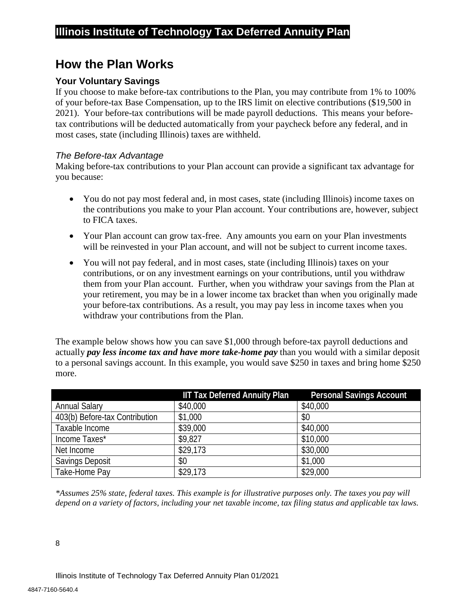# <span id="page-10-0"></span>**How the Plan Works**

## <span id="page-10-1"></span>**Your Voluntary Savings**

If you choose to make before-tax contributions to the Plan, you may contribute from 1% to 100% of your before-tax Base Compensation, up to the IRS limit on elective contributions (\$19,500 in 2021). Your before-tax contributions will be made payroll deductions. This means your beforetax contributions will be deducted automatically from your paycheck before any federal, and in most cases, state (including Illinois) taxes are withheld.

#### *The Before-tax Advantage*

Making before-tax contributions to your Plan account can provide a significant tax advantage for you because:

- You do not pay most federal and, in most cases, state (including Illinois) income taxes on the contributions you make to your Plan account. Your contributions are, however, subject to FICA taxes.
- Your Plan account can grow tax-free. Any amounts you earn on your Plan investments will be reinvested in your Plan account, and will not be subject to current income taxes.
- You will not pay federal, and in most cases, state (including Illinois) taxes on your contributions, or on any investment earnings on your contributions, until you withdraw them from your Plan account. Further, when you withdraw your savings from the Plan at your retirement, you may be in a lower income tax bracket than when you originally made your before-tax contributions. As a result, you may pay less in income taxes when you withdraw your contributions from the Plan.

The example below shows how you can save \$1,000 through before-tax payroll deductions and actually *pay less income tax and have more take-home pay* than you would with a similar deposit to a personal savings account. In this example, you would save \$250 in taxes and bring home \$250 more.

|                                | <b>IIT Tax Deferred Annuity Plan</b> | <b>Personal Savings Account</b> |
|--------------------------------|--------------------------------------|---------------------------------|
| <b>Annual Salary</b>           | \$40,000                             | \$40,000                        |
| 403(b) Before-tax Contribution | \$1,000                              | \$0                             |
| Taxable Income                 | \$39,000                             | \$40,000                        |
| Income Taxes*                  | \$9,827                              | \$10,000                        |
| Net Income                     | \$29,173                             | \$30,000                        |
| <b>Savings Deposit</b>         | \$0                                  | \$1,000                         |
| Take-Home Pay                  | \$29,173                             | \$29,000                        |

*\*Assumes 25% state, federal taxes. This example is for illustrative purposes only. The taxes you pay will depend on a variety of factors, including your net taxable income, tax filing status and applicable tax laws.*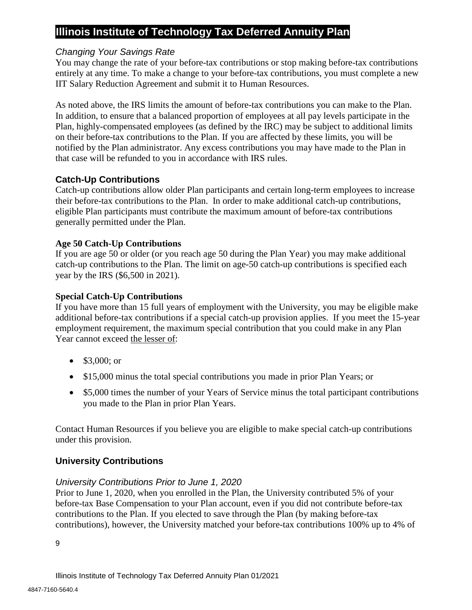#### *Changing Your Savings Rate*

You may change the rate of your before-tax contributions or stop making before-tax contributions entirely at any time. To make a change to your before-tax contributions, you must complete a new IIT Salary Reduction Agreement and submit it to Human Resources.

As noted above, the IRS limits the amount of before-tax contributions you can make to the Plan. In addition, to ensure that a balanced proportion of employees at all pay levels participate in the Plan, highly-compensated employees (as defined by the IRC) may be subject to additional limits on their before-tax contributions to the Plan. If you are affected by these limits, you will be notified by the Plan administrator. Any excess contributions you may have made to the Plan in that case will be refunded to you in accordance with IRS rules.

## <span id="page-11-0"></span>**Catch-Up Contributions**

Catch-up contributions allow older Plan participants and certain long-term employees to increase their before-tax contributions to the Plan. In order to make additional catch-up contributions, eligible Plan participants must contribute the maximum amount of before-tax contributions generally permitted under the Plan.

#### **Age 50 Catch-Up Contributions**

If you are age 50 or older (or you reach age 50 during the Plan Year) you may make additional catch-up contributions to the Plan. The limit on age-50 catch-up contributions is specified each year by the IRS (\$6,500 in 2021).

#### **Special Catch-Up Contributions**

If you have more than 15 full years of employment with the University, you may be eligible make additional before-tax contributions if a special catch-up provision applies. If you meet the 15-year employment requirement, the maximum special contribution that you could make in any Plan Year cannot exceed the lesser of:

- \$3,000; or
- \$15,000 minus the total special contributions you made in prior Plan Years; or
- \$5,000 times the number of your Years of Service minus the total participant contributions you made to the Plan in prior Plan Years.

Contact Human Resources if you believe you are eligible to make special catch-up contributions under this provision.

## <span id="page-11-1"></span>**University Contributions**

#### *University Contributions Prior to June 1, 2020*

Prior to June 1, 2020, when you enrolled in the Plan, the University contributed 5% of your before-tax Base Compensation to your Plan account, even if you did not contribute before-tax contributions to the Plan. If you elected to save through the Plan (by making before-tax contributions), however, the University matched your before-tax contributions 100% up to 4% of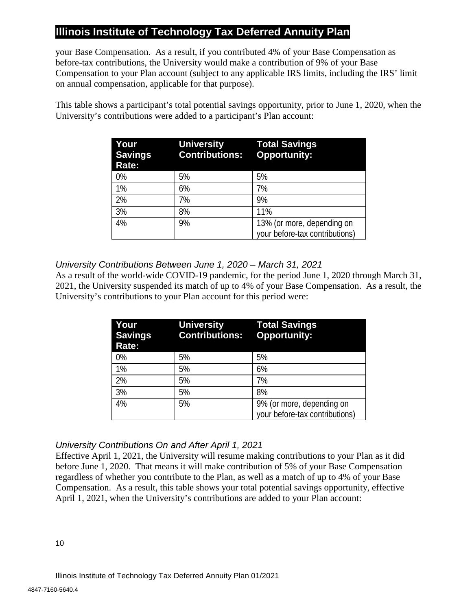your Base Compensation. As a result, if you contributed 4% of your Base Compensation as before-tax contributions, the University would make a contribution of 9% of your Base Compensation to your Plan account (subject to any applicable IRS limits, including the IRS' limit on annual compensation, applicable for that purpose).

This table shows a participant's total potential savings opportunity, prior to June 1, 2020, when the University's contributions were added to a participant's Plan account:

| <b>University</b><br><b>Contributions:</b> | <b>Total Savings</b><br><b>Opportunity:</b>                  |
|--------------------------------------------|--------------------------------------------------------------|
| 5%                                         | 5%                                                           |
| 6%                                         | 7%                                                           |
| 7%                                         | 9%                                                           |
| 8%                                         | 11%                                                          |
| 9%                                         | 13% (or more, depending on<br>your before-tax contributions) |
|                                            |                                                              |

## *University Contributions Between June 1, 2020 – March 31, 2021*

As a result of the world-wide COVID-19 pandemic, for the period June 1, 2020 through March 31, 2021, the University suspended its match of up to 4% of your Base Compensation. As a result, the University's contributions to your Plan account for this period were:

| Your<br><b>Savings</b><br>Rate: | <b>University</b><br><b>Contributions: Opportunity:</b> | <b>Total Savings</b>                                        |
|---------------------------------|---------------------------------------------------------|-------------------------------------------------------------|
| 0%                              | 5%                                                      | 5%                                                          |
| 1%                              | 5%                                                      | 6%                                                          |
| 2%                              | 5%                                                      | 7%                                                          |
| 3%                              | 5%                                                      | 8%                                                          |
| 4%                              | 5%                                                      | 9% (or more, depending on<br>your before-tax contributions) |

## *University Contributions On and After April 1, 2021*

Effective April 1, 2021, the University will resume making contributions to your Plan as it did before June 1, 2020. That means it will make contribution of 5% of your Base Compensation regardless of whether you contribute to the Plan, as well as a match of up to 4% of your Base Compensation. As a result, this table shows your total potential savings opportunity, effective April 1, 2021, when the University's contributions are added to your Plan account: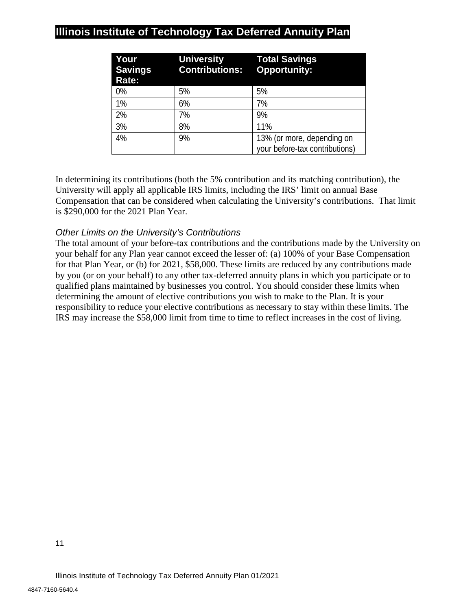| Your<br><b>Savings</b><br>Rate: | <b>University</b><br><b>Contributions: Opportunity:</b> | <b>Total Savings</b>           |
|---------------------------------|---------------------------------------------------------|--------------------------------|
| 0%                              | 5%                                                      | 5%                             |
| 1%                              | 6%                                                      | 7%                             |
| 2%                              | 7%                                                      | 9%                             |
| 3%                              | 8%                                                      | 11%                            |
| 4%                              | 9%                                                      | 13% (or more, depending on     |
|                                 |                                                         | your before-tax contributions) |

In determining its contributions (both the 5% contribution and its matching contribution), the University will apply all applicable IRS limits, including the IRS' limit on annual Base Compensation that can be considered when calculating the University's contributions. That limit is \$290,000 for the 2021 Plan Year.

## *Other Limits on the University's Contributions*

The total amount of your before-tax contributions and the contributions made by the University on your behalf for any Plan year cannot exceed the lesser of: (a) 100% of your Base Compensation for that Plan Year, or (b) for 2021, \$58,000. These limits are reduced by any contributions made by you (or on your behalf) to any other tax-deferred annuity plans in which you participate or to qualified plans maintained by businesses you control. You should consider these limits when determining the amount of elective contributions you wish to make to the Plan. It is your responsibility to reduce your elective contributions as necessary to stay within these limits. The IRS may increase the \$58,000 limit from time to time to reflect increases in the cost of living.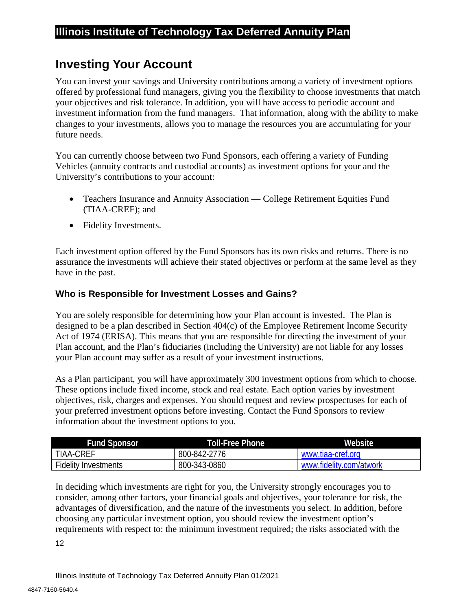# <span id="page-14-0"></span>**Investing Your Account**

You can invest your savings and University contributions among a variety of investment options offered by professional fund managers, giving you the flexibility to choose investments that match your objectives and risk tolerance. In addition, you will have access to periodic account and investment information from the fund managers. That information, along with the ability to make changes to your investments, allows you to manage the resources you are accumulating for your future needs.

You can currently choose between two Fund Sponsors, each offering a variety of Funding Vehicles (annuity contracts and custodial accounts) as investment options for your and the University's contributions to your account:

- Teachers Insurance and Annuity Association College Retirement Equities Fund (TIAA-CREF); and
- Fidelity Investments.

Each investment option offered by the Fund Sponsors has its own risks and returns. There is no assurance the investments will achieve their stated objectives or perform at the same level as they have in the past.

## <span id="page-14-1"></span>**Who is Responsible for Investment Losses and Gains?**

You are solely responsible for determining how your Plan account is invested. The Plan is designed to be a plan described in Section 404(c) of the Employee Retirement Income Security Act of 1974 (ERISA). This means that you are responsible for directing the investment of your Plan account, and the Plan's fiduciaries (including the University) are not liable for any losses your Plan account may suffer as a result of your investment instructions.

As a Plan participant, you will have approximately 300 investment options from which to choose. These options include fixed income, stock and real estate. Each option varies by investment objectives, risk, charges and expenses. You should request and review prospectuses for each of your preferred investment options before investing. Contact the Fund Sponsors to review information about the investment options to you.

| <b>Fund Sponsor</b>         | Toll-Free Phone | Website                 |
|-----------------------------|-----------------|-------------------------|
| TIAA-CREF                   | 800-842-2776    | www.tiaa-cref.org       |
| <b>Fidelity Investments</b> | 800-343-0860    | www.fidelity.com/atwork |

In deciding which investments are right for you, the University strongly encourages you to consider, among other factors, your financial goals and objectives, your tolerance for risk, the advantages of diversification, and the nature of the investments you select. In addition, before choosing any particular investment option, you should review the investment option's requirements with respect to: the minimum investment required; the risks associated with the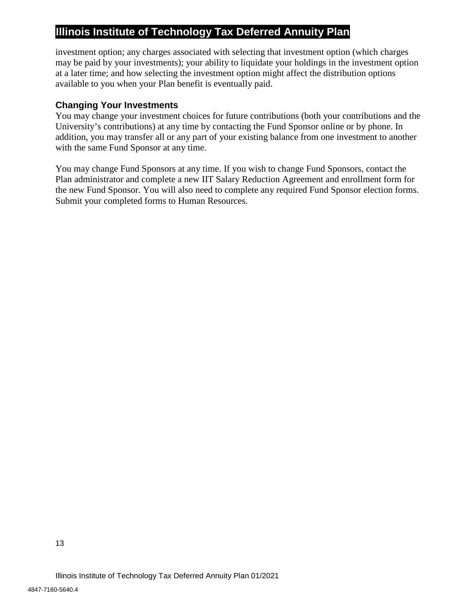investment option; any charges associated with selecting that investment option (which charges may be paid by your investments); your ability to liquidate your holdings in the investment option at a later time; and how selecting the investment option might affect the distribution options available to you when your Plan benefit is eventually paid.

## <span id="page-15-0"></span>**Changing Your Investments**

You may change your investment choices for future contributions (both your contributions and the University's contributions) at any time by contacting the Fund Sponsor online or by phone. In addition, you may transfer all or any part of your existing balance from one investment to another with the same Fund Sponsor at any time.

You may change Fund Sponsors at any time. If you wish to change Fund Sponsors, contact the Plan administrator and complete a new IIT Salary Reduction Agreement and enrollment form for the new Fund Sponsor. You will also need to complete any required Fund Sponsor election forms. Submit your completed forms to Human Resources.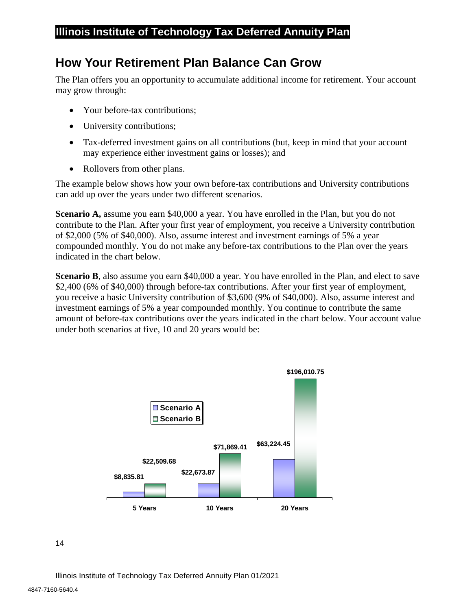# <span id="page-16-0"></span>**How Your Retirement Plan Balance Can Grow**

The Plan offers you an opportunity to accumulate additional income for retirement. Your account may grow through:

- Your before-tax contributions;
- University contributions;
- Tax-deferred investment gains on all contributions (but, keep in mind that your account may experience either investment gains or losses); and
- Rollovers from other plans.

The example below shows how your own before-tax contributions and University contributions can add up over the years under two different scenarios.

**Scenario A,** assume you earn \$40,000 a year. You have enrolled in the Plan, but you do not contribute to the Plan. After your first year of employment, you receive a University contribution of \$2,000 (5% of \$40,000). Also, assume interest and investment earnings of 5% a year compounded monthly. You do not make any before-tax contributions to the Plan over the years indicated in the chart below.

**Scenario B**, also assume you earn \$40,000 a year. You have enrolled in the Plan, and elect to save \$2,400 (6% of \$40,000) through before-tax contributions. After your first year of employment, you receive a basic University contribution of \$3,600 (9% of \$40,000). Also, assume interest and investment earnings of 5% a year compounded monthly. You continue to contribute the same amount of before-tax contributions over the years indicated in the chart below. Your account value under both scenarios at five, 10 and 20 years would be:

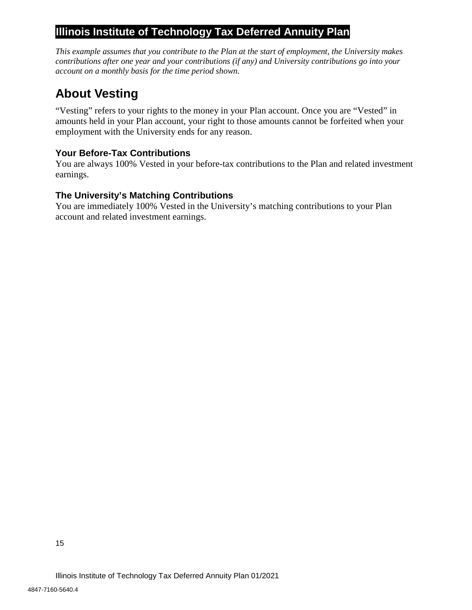*This example assumes that you contribute to the Plan at the start of employment, the University makes contributions after one year and your contributions (if any) and University contributions go into your account on a monthly basis for the time period shown.* 

# <span id="page-17-0"></span>**About Vesting**

"Vesting" refers to your rights to the money in your Plan account. Once you are "Vested" in amounts held in your Plan account, your right to those amounts cannot be forfeited when your employment with the University ends for any reason.

## <span id="page-17-1"></span>**Your Before-Tax Contributions**

You are always 100% Vested in your before-tax contributions to the Plan and related investment earnings.

## <span id="page-17-2"></span>**The University's Matching Contributions**

You are immediately 100% Vested in the University's matching contributions to your Plan account and related investment earnings.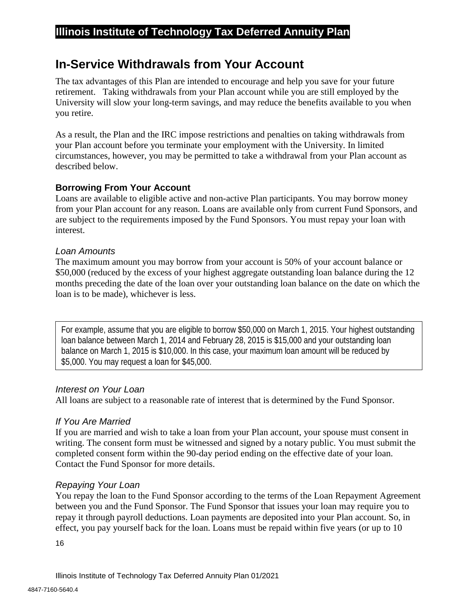# <span id="page-18-0"></span>**In-Service Withdrawals from Your Account**

The tax advantages of this Plan are intended to encourage and help you save for your future retirement. Taking withdrawals from your Plan account while you are still employed by the University will slow your long-term savings, and may reduce the benefits available to you when you retire.

As a result, the Plan and the IRC impose restrictions and penalties on taking withdrawals from your Plan account before you terminate your employment with the University. In limited circumstances, however, you may be permitted to take a withdrawal from your Plan account as described below.

## <span id="page-18-1"></span>**Borrowing From Your Account**

Loans are available to eligible active and non-active Plan participants. You may borrow money from your Plan account for any reason. Loans are available only from current Fund Sponsors, and are subject to the requirements imposed by the Fund Sponsors. You must repay your loan with interest.

#### *Loan Amounts*

The maximum amount you may borrow from your account is 50% of your account balance or \$50,000 (reduced by the excess of your highest aggregate outstanding loan balance during the 12 months preceding the date of the loan over your outstanding loan balance on the date on which the loan is to be made), whichever is less.

For example, assume that you are eligible to borrow \$50,000 on March 1, 2015. Your highest outstanding loan balance between March 1, 2014 and February 28, 2015 is \$15,000 and your outstanding loan balance on March 1, 2015 is \$10,000. In this case, your maximum loan amount will be reduced by \$5,000. You may request a loan for \$45,000.

## *Interest on Your Loan*

All loans are subject to a reasonable rate of interest that is determined by the Fund Sponsor.

## *If You Are Married*

If you are married and wish to take a loan from your Plan account, your spouse must consent in writing. The consent form must be witnessed and signed by a notary public. You must submit the completed consent form within the 90-day period ending on the effective date of your loan. Contact the Fund Sponsor for more details.

## *Repaying Your Loan*

You repay the loan to the Fund Sponsor according to the terms of the Loan Repayment Agreement between you and the Fund Sponsor. The Fund Sponsor that issues your loan may require you to repay it through payroll deductions. Loan payments are deposited into your Plan account. So, in effect, you pay yourself back for the loan. Loans must be repaid within five years (or up to 10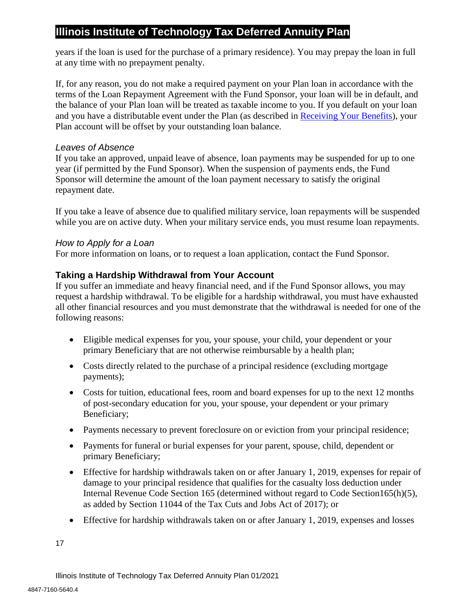years if the loan is used for the purchase of a primary residence). You may prepay the loan in full at any time with no prepayment penalty.

If, for any reason, you do not make a required payment on your Plan loan in accordance with the terms of the Loan Repayment Agreement with the Fund Sponsor, your loan will be in default, and the balance of your Plan loan will be treated as taxable income to you. If you default on your loan and you have a distributable event under the Plan (as described in [Receiving Your Benefits\)](#page-22-0), your Plan account will be offset by your outstanding loan balance.

## *Leaves of Absence*

If you take an approved, unpaid leave of absence, loan payments may be suspended for up to one year (if permitted by the Fund Sponsor). When the suspension of payments ends, the Fund Sponsor will determine the amount of the loan payment necessary to satisfy the original repayment date.

If you take a leave of absence due to qualified military service, loan repayments will be suspended while you are on active duty. When your military service ends, you must resume loan repayments.

## *How to Apply for a Loan*

For more information on loans, or to request a loan application, contact the Fund Sponsor.

## <span id="page-19-0"></span>**Taking a Hardship Withdrawal from Your Account**

If you suffer an immediate and heavy financial need, and if the Fund Sponsor allows, you may request a hardship withdrawal. To be eligible for a hardship withdrawal, you must have exhausted all other financial resources and you must demonstrate that the withdrawal is needed for one of the following reasons:

- Eligible medical expenses for you, your spouse, your child, your dependent or your primary Beneficiary that are not otherwise reimbursable by a health plan;
- Costs directly related to the purchase of a principal residence (excluding mortgage payments);
- Costs for tuition, educational fees, room and board expenses for up to the next 12 months of post-secondary education for you, your spouse, your dependent or your primary Beneficiary;
- Payments necessary to prevent foreclosure on or eviction from your principal residence;
- Payments for funeral or burial expenses for your parent, spouse, child, dependent or primary Beneficiary;
- Effective for hardship withdrawals taken on or after January 1, 2019, expenses for repair of damage to your principal residence that qualifies for the casualty loss deduction under Internal Revenue Code Section 165 (determined without regard to Code Section165(h)(5), as added by Section 11044 of the Tax Cuts and Jobs Act of 2017); or
- Effective for hardship withdrawals taken on or after January 1, 2019, expenses and losses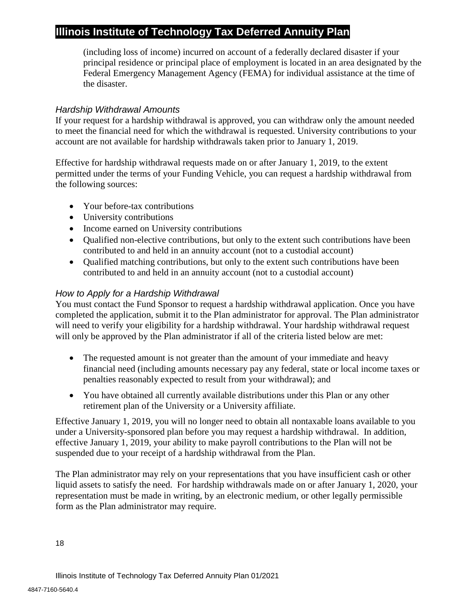(including loss of income) incurred on account of a federally declared disaster if your principal residence or principal place of employment is located in an area designated by the Federal Emergency Management Agency (FEMA) for individual assistance at the time of the disaster.

## *Hardship Withdrawal Amounts*

If your request for a hardship withdrawal is approved, you can withdraw only the amount needed to meet the financial need for which the withdrawal is requested. University contributions to your account are not available for hardship withdrawals taken prior to January 1, 2019.

Effective for hardship withdrawal requests made on or after January 1, 2019, to the extent permitted under the terms of your Funding Vehicle, you can request a hardship withdrawal from the following sources:

- Your before-tax contributions
- University contributions
- Income earned on University contributions
- Oualified non-elective contributions, but only to the extent such contributions have been contributed to and held in an annuity account (not to a custodial account)
- Oualified matching contributions, but only to the extent such contributions have been contributed to and held in an annuity account (not to a custodial account)

## *How to Apply for a Hardship Withdrawal*

You must contact the Fund Sponsor to request a hardship withdrawal application. Once you have completed the application, submit it to the Plan administrator for approval. The Plan administrator will need to verify your eligibility for a hardship withdrawal. Your hardship withdrawal request will only be approved by the Plan administrator if all of the criteria listed below are met:

- The requested amount is not greater than the amount of your immediate and heavy financial need (including amounts necessary pay any federal, state or local income taxes or penalties reasonably expected to result from your withdrawal); and
- You have obtained all currently available distributions under this Plan or any other retirement plan of the University or a University affiliate.

Effective January 1, 2019, you will no longer need to obtain all nontaxable loans available to you under a University-sponsored plan before you may request a hardship withdrawal. In addition, effective January 1, 2019, your ability to make payroll contributions to the Plan will not be suspended due to your receipt of a hardship withdrawal from the Plan.

The Plan administrator may rely on your representations that you have insufficient cash or other liquid assets to satisfy the need. For hardship withdrawals made on or after January 1, 2020, your representation must be made in writing, by an electronic medium, or other legally permissible form as the Plan administrator may require.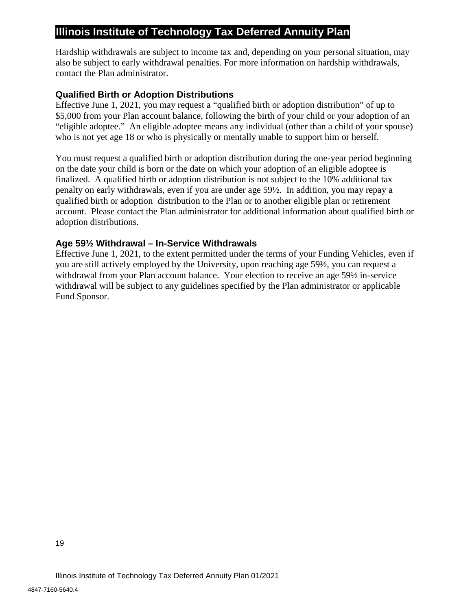Hardship withdrawals are subject to income tax and, depending on your personal situation, may also be subject to early withdrawal penalties. For more information on hardship withdrawals, contact the Plan administrator.

#### <span id="page-21-0"></span>**Qualified Birth or Adoption Distributions**

Effective June 1, 2021, you may request a "qualified birth or adoption distribution" of up to \$5,000 from your Plan account balance, following the birth of your child or your adoption of an "eligible adoptee." An eligible adoptee means any individual (other than a child of your spouse) who is not yet age 18 or who is physically or mentally unable to support him or herself.

You must request a qualified birth or adoption distribution during the one-year period beginning on the date your child is born or the date on which your adoption of an eligible adoptee is finalized. A qualified birth or adoption distribution is not subject to the 10% additional tax penalty on early withdrawals, even if you are under age 59½. In addition, you may repay a qualified birth or adoption distribution to the Plan or to another eligible plan or retirement account. Please contact the Plan administrator for additional information about qualified birth or adoption distributions.

#### <span id="page-21-1"></span>**Age 59½ Withdrawal – In-Service Withdrawals**

Effective June 1, 2021, to the extent permitted under the terms of your Funding Vehicles, even if you are still actively employed by the University, upon reaching age 59½, you can request a withdrawal from your Plan account balance. Your election to receive an age 59½ in-service withdrawal will be subject to any guidelines specified by the Plan administrator or applicable Fund Sponsor.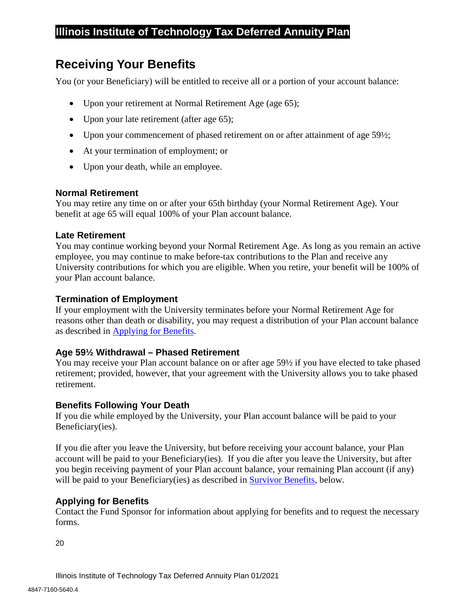# <span id="page-22-0"></span>**Receiving Your Benefits**

You (or your Beneficiary) will be entitled to receive all or a portion of your account balance:

- Upon your retirement at Normal Retirement Age (age 65);
- Upon your late retirement (after age 65);
- Upon your commencement of phased retirement on or after attainment of age 59<sup>1</sup>/<sub>2</sub>;
- At your termination of employment; or
- Upon your death, while an employee.

#### <span id="page-22-1"></span>**Normal Retirement**

You may retire any time on or after your 65th birthday (your Normal Retirement Age). Your benefit at age 65 will equal 100% of your Plan account balance.

#### <span id="page-22-2"></span>**Late Retirement**

You may continue working beyond your Normal Retirement Age. As long as you remain an active employee, you may continue to make before-tax contributions to the Plan and receive any University contributions for which you are eligible. When you retire, your benefit will be 100% of your Plan account balance.

#### <span id="page-22-3"></span>**Termination of Employment**

If your employment with the University terminates before your Normal Retirement Age for reasons other than death or disability, you may request a distribution of your Plan account balance as described in [Applying for Benefits.](#page-22-6)

## <span id="page-22-4"></span>**Age 59½ Withdrawal – Phased Retirement**

You may receive your Plan account balance on or after age 59½ if you have elected to take phased retirement; provided, however, that your agreement with the University allows you to take phased retirement.

#### <span id="page-22-5"></span>**Benefits Following Your Death**

If you die while employed by the University, your Plan account balance will be paid to your Beneficiary(ies).

If you die after you leave the University, but before receiving your account balance, your Plan account will be paid to your Beneficiary(ies). If you die after you leave the University, but after you begin receiving payment of your Plan account balance, your remaining Plan account (if any) will be paid to your Beneficiary(ies) as described in [Survivor Benefits,](#page-23-2) below.

## <span id="page-22-6"></span>**Applying for Benefits**

Contact the Fund Sponsor for information about applying for benefits and to request the necessary forms.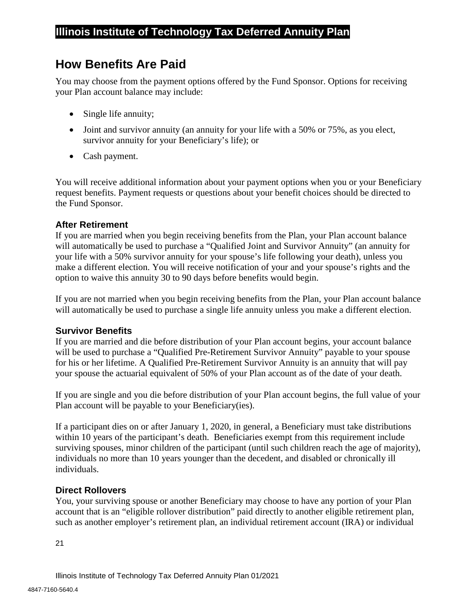# <span id="page-23-0"></span>**How Benefits Are Paid**

You may choose from the payment options offered by the Fund Sponsor. Options for receiving your Plan account balance may include:

- Single life annuity;
- Joint and survivor annuity (an annuity for your life with a 50% or 75%, as you elect, survivor annuity for your Beneficiary's life); or
- Cash payment.

You will receive additional information about your payment options when you or your Beneficiary request benefits. Payment requests or questions about your benefit choices should be directed to the Fund Sponsor.

## <span id="page-23-1"></span>**After Retirement**

If you are married when you begin receiving benefits from the Plan, your Plan account balance will automatically be used to purchase a "Qualified Joint and Survivor Annuity" (an annuity for your life with a 50% survivor annuity for your spouse's life following your death), unless you make a different election. You will receive notification of your and your spouse's rights and the option to waive this annuity 30 to 90 days before benefits would begin.

If you are not married when you begin receiving benefits from the Plan, your Plan account balance will automatically be used to purchase a single life annuity unless you make a different election.

## <span id="page-23-2"></span>**Survivor Benefits**

If you are married and die before distribution of your Plan account begins, your account balance will be used to purchase a "Qualified Pre-Retirement Survivor Annuity" payable to your spouse for his or her lifetime. A Qualified Pre-Retirement Survivor Annuity is an annuity that will pay your spouse the actuarial equivalent of 50% of your Plan account as of the date of your death.

If you are single and you die before distribution of your Plan account begins, the full value of your Plan account will be payable to your Beneficiary(ies).

If a participant dies on or after January 1, 2020, in general, a Beneficiary must take distributions within 10 years of the participant's death. Beneficiaries exempt from this requirement include surviving spouses, minor children of the participant (until such children reach the age of majority), individuals no more than 10 years younger than the decedent, and disabled or chronically ill individuals.

## <span id="page-23-3"></span>**Direct Rollovers**

You, your surviving spouse or another Beneficiary may choose to have any portion of your Plan account that is an "eligible rollover distribution" paid directly to another eligible retirement plan, such as another employer's retirement plan, an individual retirement account (IRA) or individual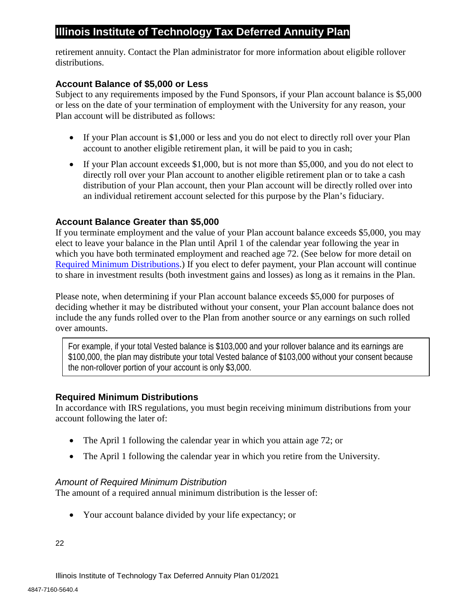retirement annuity. Contact the Plan administrator for more information about eligible rollover distributions.

## <span id="page-24-0"></span>**Account Balance of \$5,000 or Less**

Subject to any requirements imposed by the Fund Sponsors, if your Plan account balance is \$5,000 or less on the date of your termination of employment with the University for any reason, your Plan account will be distributed as follows:

- If your Plan account is \$1,000 or less and you do not elect to directly roll over your Plan account to another eligible retirement plan, it will be paid to you in cash;
- If your Plan account exceeds \$1,000, but is not more than \$5,000, and you do not elect to directly roll over your Plan account to another eligible retirement plan or to take a cash distribution of your Plan account, then your Plan account will be directly rolled over into an individual retirement account selected for this purpose by the Plan's fiduciary.

## <span id="page-24-1"></span>**Account Balance Greater than \$5,000**

If you terminate employment and the value of your Plan account balance exceeds \$5,000, you may elect to leave your balance in the Plan until April 1 of the calendar year following the year in which you have both terminated employment and reached age 72. (See below for more detail on [Required Minimum Distributions.](#page-24-2)) If you elect to defer payment, your Plan account will continue to share in investment results (both investment gains and losses) as long as it remains in the Plan.

Please note, when determining if your Plan account balance exceeds \$5,000 for purposes of deciding whether it may be distributed without your consent, your Plan account balance does not include the any funds rolled over to the Plan from another source or any earnings on such rolled over amounts.

For example, if your total Vested balance is \$103,000 and your rollover balance and its earnings are \$100,000, the plan may distribute your total Vested balance of \$103,000 without your consent because the non-rollover portion of your account is only \$3,000.

## <span id="page-24-2"></span>**Required Minimum Distributions**

In accordance with IRS regulations, you must begin receiving minimum distributions from your account following the later of:

- The April 1 following the calendar year in which you attain age 72; or
- The April 1 following the calendar year in which you retire from the University.

## *Amount of Required Minimum Distribution*

The amount of a required annual minimum distribution is the lesser of:

• Your account balance divided by your life expectancy; or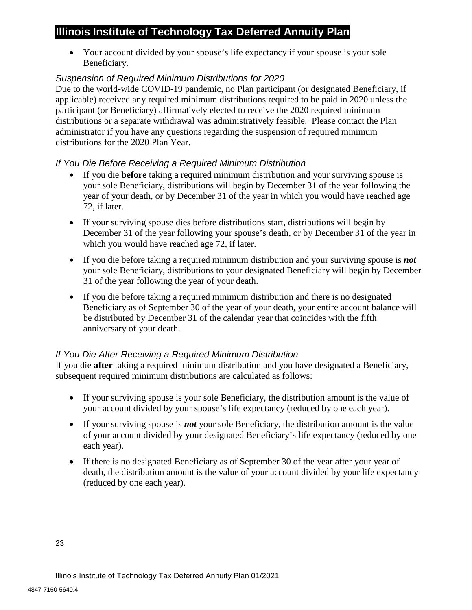• Your account divided by your spouse's life expectancy if your spouse is your sole Beneficiary.

## *Suspension of Required Minimum Distributions for 2020*

Due to the world-wide COVID-19 pandemic, no Plan participant (or designated Beneficiary, if applicable) received any required minimum distributions required to be paid in 2020 unless the participant (or Beneficiary) affirmatively elected to receive the 2020 required minimum distributions or a separate withdrawal was administratively feasible. Please contact the Plan administrator if you have any questions regarding the suspension of required minimum distributions for the 2020 Plan Year.

## *If You Die Before Receiving a Required Minimum Distribution*

- If you die **before** taking a required minimum distribution and your surviving spouse is your sole Beneficiary, distributions will begin by December 31 of the year following the year of your death, or by December 31 of the year in which you would have reached age 72, if later.
- If your surviving spouse dies before distributions start, distributions will begin by December 31 of the year following your spouse's death, or by December 31 of the year in which you would have reached age 72, if later.
- If you die before taking a required minimum distribution and your surviving spouse is *not* your sole Beneficiary, distributions to your designated Beneficiary will begin by December 31 of the year following the year of your death.
- If you die before taking a required minimum distribution and there is no designated Beneficiary as of September 30 of the year of your death, your entire account balance will be distributed by December 31 of the calendar year that coincides with the fifth anniversary of your death.

## *If You Die After Receiving a Required Minimum Distribution*

If you die **after** taking a required minimum distribution and you have designated a Beneficiary, subsequent required minimum distributions are calculated as follows:

- If your surviving spouse is your sole Beneficiary, the distribution amount is the value of your account divided by your spouse's life expectancy (reduced by one each year).
- If your surviving spouse is *not* your sole Beneficiary, the distribution amount is the value of your account divided by your designated Beneficiary's life expectancy (reduced by one each year).
- If there is no designated Beneficiary as of September 30 of the year after your year of death, the distribution amount is the value of your account divided by your life expectancy (reduced by one each year).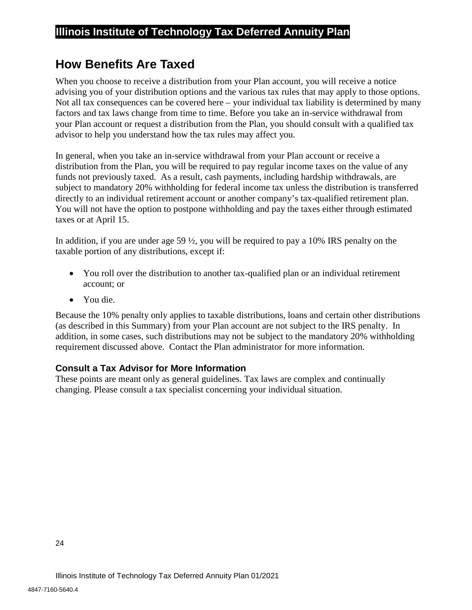# <span id="page-26-0"></span>**How Benefits Are Taxed**

When you choose to receive a distribution from your Plan account, you will receive a notice advising you of your distribution options and the various tax rules that may apply to those options. Not all tax consequences can be covered here – your individual tax liability is determined by many factors and tax laws change from time to time. Before you take an in-service withdrawal from your Plan account or request a distribution from the Plan, you should consult with a qualified tax advisor to help you understand how the tax rules may affect you.

In general, when you take an in-service withdrawal from your Plan account or receive a distribution from the Plan, you will be required to pay regular income taxes on the value of any funds not previously taxed. As a result, cash payments, including hardship withdrawals, are subject to mandatory 20% withholding for federal income tax unless the distribution is transferred directly to an individual retirement account or another company's tax-qualified retirement plan. You will not have the option to postpone withholding and pay the taxes either through estimated taxes or at April 15.

In addition, if you are under age 59 ½, you will be required to pay a 10% IRS penalty on the taxable portion of any distributions, except if:

- You roll over the distribution to another tax-qualified plan or an individual retirement account; or
- You die.

Because the 10% penalty only applies to taxable distributions, loans and certain other distributions (as described in this Summary) from your Plan account are not subject to the IRS penalty. In addition, in some cases, such distributions may not be subject to the mandatory 20% withholding requirement discussed above. Contact the Plan administrator for more information.

## <span id="page-26-1"></span>**Consult a Tax Advisor for More Information**

These points are meant only as general guidelines. Tax laws are complex and continually changing. Please consult a tax specialist concerning your individual situation.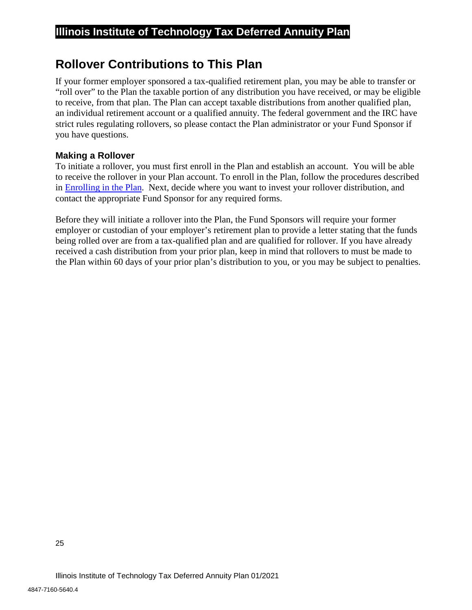# <span id="page-27-0"></span>**Rollover Contributions to This Plan**

If your former employer sponsored a tax-qualified retirement plan, you may be able to transfer or "roll over" to the Plan the taxable portion of any distribution you have received, or may be eligible to receive, from that plan. The Plan can accept taxable distributions from another qualified plan, an individual retirement account or a qualified annuity. The federal government and the IRC have strict rules regulating rollovers, so please contact the Plan administrator or your Fund Sponsor if you have questions.

## <span id="page-27-1"></span>**Making a Rollover**

To initiate a rollover, you must first enroll in the Plan and establish an account. You will be able to receive the rollover in your Plan account. To enroll in the Plan, follow the procedures described in [Enrolling in the Plan.](#page-8-0) Next, decide where you want to invest your rollover distribution, and contact the appropriate Fund Sponsor for any required forms.

Before they will initiate a rollover into the Plan, the Fund Sponsors will require your former employer or custodian of your employer's retirement plan to provide a letter stating that the funds being rolled over are from a tax-qualified plan and are qualified for rollover. If you have already received a cash distribution from your prior plan, keep in mind that rollovers to must be made to the Plan within 60 days of your prior plan's distribution to you, or you may be subject to penalties.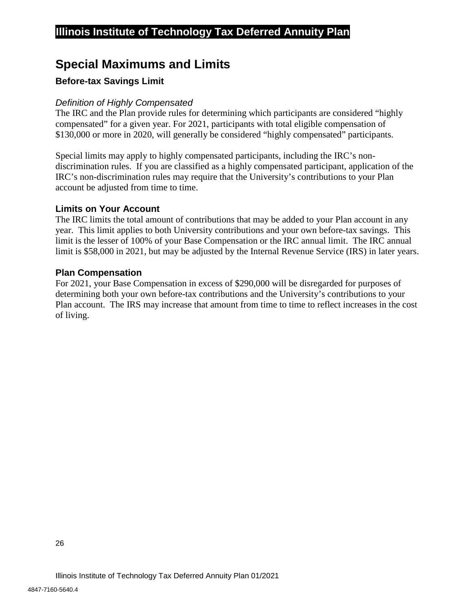# <span id="page-28-0"></span>**Special Maximums and Limits**

## <span id="page-28-1"></span>**Before-tax Savings Limit**

## *Definition of Highly Compensated*

The IRC and the Plan provide rules for determining which participants are considered "highly compensated" for a given year. For 2021, participants with total eligible compensation of \$130,000 or more in 2020, will generally be considered "highly compensated" participants.

Special limits may apply to highly compensated participants, including the IRC's nondiscrimination rules. If you are classified as a highly compensated participant, application of the IRC's non-discrimination rules may require that the University's contributions to your Plan account be adjusted from time to time.

## <span id="page-28-2"></span>**Limits on Your Account**

The IRC limits the total amount of contributions that may be added to your Plan account in any year. This limit applies to both University contributions and your own before-tax savings. This limit is the lesser of 100% of your Base Compensation or the IRC annual limit. The IRC annual limit is \$58,000 in 2021, but may be adjusted by the Internal Revenue Service (IRS) in later years.

## <span id="page-28-3"></span>**Plan Compensation**

For 2021, your Base Compensation in excess of \$290,000 will be disregarded for purposes of determining both your own before-tax contributions and the University's contributions to your Plan account. The IRS may increase that amount from time to time to reflect increases in the cost of living.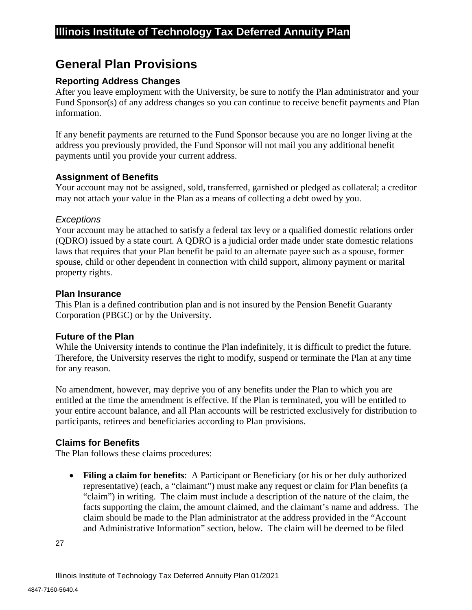# <span id="page-29-0"></span>**General Plan Provisions**

## <span id="page-29-1"></span>**Reporting Address Changes**

After you leave employment with the University, be sure to notify the Plan administrator and your Fund Sponsor(s) of any address changes so you can continue to receive benefit payments and Plan information.

If any benefit payments are returned to the Fund Sponsor because you are no longer living at the address you previously provided, the Fund Sponsor will not mail you any additional benefit payments until you provide your current address.

## <span id="page-29-2"></span>**Assignment of Benefits**

Your account may not be assigned, sold, transferred, garnished or pledged as collateral; a creditor may not attach your value in the Plan as a means of collecting a debt owed by you.

## *Exceptions*

Your account may be attached to satisfy a federal tax levy or a qualified domestic relations order (QDRO) issued by a state court. A QDRO is a judicial order made under state domestic relations laws that requires that your Plan benefit be paid to an alternate payee such as a spouse, former spouse, child or other dependent in connection with child support, alimony payment or marital property rights.

#### <span id="page-29-3"></span>**Plan Insurance**

This Plan is a defined contribution plan and is not insured by the Pension Benefit Guaranty Corporation (PBGC) or by the University.

## <span id="page-29-4"></span>**Future of the Plan**

While the University intends to continue the Plan indefinitely, it is difficult to predict the future. Therefore, the University reserves the right to modify, suspend or terminate the Plan at any time for any reason.

No amendment, however, may deprive you of any benefits under the Plan to which you are entitled at the time the amendment is effective. If the Plan is terminated, you will be entitled to your entire account balance, and all Plan accounts will be restricted exclusively for distribution to participants, retirees and beneficiaries according to Plan provisions.

## <span id="page-29-5"></span>**Claims for Benefits**

The Plan follows these claims procedures:

• **Filing a claim for benefits**: A Participant or Beneficiary (or his or her duly authorized representative) (each, a "claimant") must make any request or claim for Plan benefits (a "claim") in writing. The claim must include a description of the nature of the claim, the facts supporting the claim, the amount claimed, and the claimant's name and address. The claim should be made to the Plan administrator at the address provided in the "Account and Administrative Information" section, below. The claim will be deemed to be filed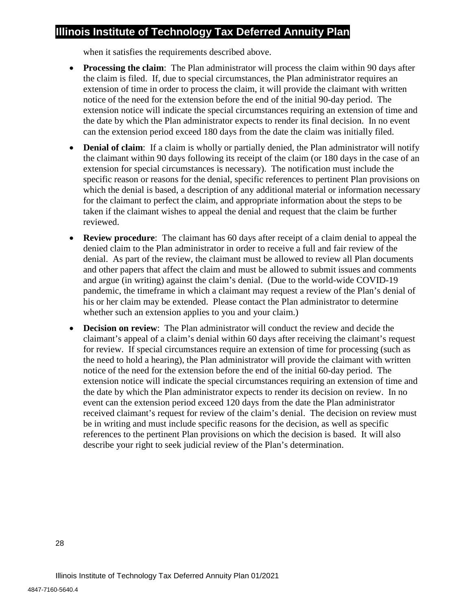when it satisfies the requirements described above.

- **Processing the claim**: The Plan administrator will process the claim within 90 days after the claim is filed. If, due to special circumstances, the Plan administrator requires an extension of time in order to process the claim, it will provide the claimant with written notice of the need for the extension before the end of the initial 90-day period. The extension notice will indicate the special circumstances requiring an extension of time and the date by which the Plan administrator expects to render its final decision. In no event can the extension period exceed 180 days from the date the claim was initially filed.
- **Denial of claim**: If a claim is wholly or partially denied, the Plan administrator will notify the claimant within 90 days following its receipt of the claim (or 180 days in the case of an extension for special circumstances is necessary). The notification must include the specific reason or reasons for the denial, specific references to pertinent Plan provisions on which the denial is based, a description of any additional material or information necessary for the claimant to perfect the claim, and appropriate information about the steps to be taken if the claimant wishes to appeal the denial and request that the claim be further reviewed.
- **Review procedure**: The claimant has 60 days after receipt of a claim denial to appeal the denied claim to the Plan administrator in order to receive a full and fair review of the denial. As part of the review, the claimant must be allowed to review all Plan documents and other papers that affect the claim and must be allowed to submit issues and comments and argue (in writing) against the claim's denial. (Due to the world-wide COVID-19 pandemic, the timeframe in which a claimant may request a review of the Plan's denial of his or her claim may be extended. Please contact the Plan administrator to determine whether such an extension applies to you and your claim.)
- **Decision on review**: The Plan administrator will conduct the review and decide the claimant's appeal of a claim's denial within 60 days after receiving the claimant's request for review. If special circumstances require an extension of time for processing (such as the need to hold a hearing), the Plan administrator will provide the claimant with written notice of the need for the extension before the end of the initial 60-day period. The extension notice will indicate the special circumstances requiring an extension of time and the date by which the Plan administrator expects to render its decision on review. In no event can the extension period exceed 120 days from the date the Plan administrator received claimant's request for review of the claim's denial. The decision on review must be in writing and must include specific reasons for the decision, as well as specific references to the pertinent Plan provisions on which the decision is based. It will also describe your right to seek judicial review of the Plan's determination.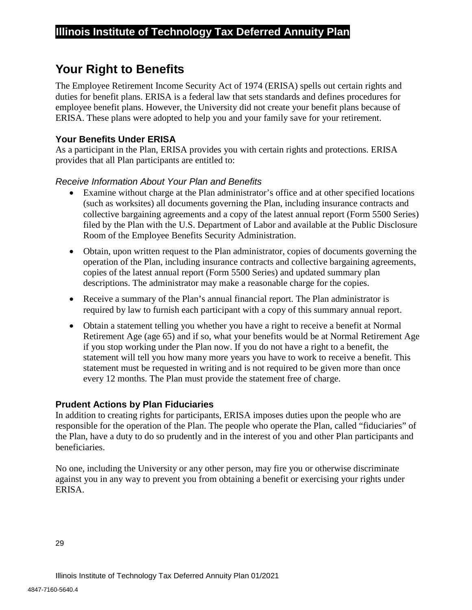# <span id="page-31-0"></span>**Your Right to Benefits**

The Employee Retirement Income Security Act of 1974 (ERISA) spells out certain rights and duties for benefit plans. ERISA is a federal law that sets standards and defines procedures for employee benefit plans. However, the University did not create your benefit plans because of ERISA. These plans were adopted to help you and your family save for your retirement.

## <span id="page-31-1"></span>**Your Benefits Under ERISA**

As a participant in the Plan, ERISA provides you with certain rights and protections. ERISA provides that all Plan participants are entitled to:

## *Receive Information About Your Plan and Benefits*

- Examine without charge at the Plan administrator's office and at other specified locations (such as worksites) all documents governing the Plan, including insurance contracts and collective bargaining agreements and a copy of the latest annual report (Form 5500 Series) filed by the Plan with the U.S. Department of Labor and available at the Public Disclosure Room of the Employee Benefits Security Administration.
- Obtain, upon written request to the Plan administrator, copies of documents governing the operation of the Plan, including insurance contracts and collective bargaining agreements, copies of the latest annual report (Form 5500 Series) and updated summary plan descriptions. The administrator may make a reasonable charge for the copies.
- Receive a summary of the Plan's annual financial report. The Plan administrator is required by law to furnish each participant with a copy of this summary annual report.
- Obtain a statement telling you whether you have a right to receive a benefit at Normal Retirement Age (age 65) and if so, what your benefits would be at Normal Retirement Age if you stop working under the Plan now. If you do not have a right to a benefit, the statement will tell you how many more years you have to work to receive a benefit. This statement must be requested in writing and is not required to be given more than once every 12 months. The Plan must provide the statement free of charge.

## <span id="page-31-2"></span>**Prudent Actions by Plan Fiduciaries**

In addition to creating rights for participants, ERISA imposes duties upon the people who are responsible for the operation of the Plan. The people who operate the Plan, called "fiduciaries" of the Plan, have a duty to do so prudently and in the interest of you and other Plan participants and beneficiaries.

No one, including the University or any other person, may fire you or otherwise discriminate against you in any way to prevent you from obtaining a benefit or exercising your rights under ERISA.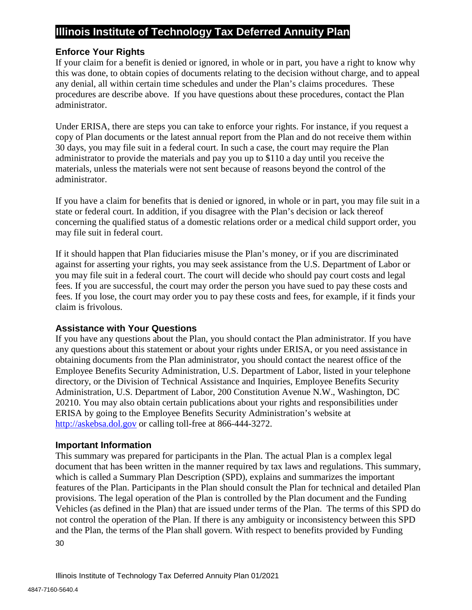## <span id="page-32-0"></span>**Enforce Your Rights**

If your claim for a benefit is denied or ignored, in whole or in part, you have a right to know why this was done, to obtain copies of documents relating to the decision without charge, and to appeal any denial, all within certain time schedules and under the Plan's claims procedures. These procedures are describe above. If you have questions about these procedures, contact the Plan administrator.

Under ERISA, there are steps you can take to enforce your rights. For instance, if you request a copy of Plan documents or the latest annual report from the Plan and do not receive them within 30 days, you may file suit in a federal court. In such a case, the court may require the Plan administrator to provide the materials and pay you up to \$110 a day until you receive the materials, unless the materials were not sent because of reasons beyond the control of the administrator.

If you have a claim for benefits that is denied or ignored, in whole or in part, you may file suit in a state or federal court. In addition, if you disagree with the Plan's decision or lack thereof concerning the qualified status of a domestic relations order or a medical child support order, you may file suit in federal court.

If it should happen that Plan fiduciaries misuse the Plan's money, or if you are discriminated against for asserting your rights, you may seek assistance from the U.S. Department of Labor or you may file suit in a federal court. The court will decide who should pay court costs and legal fees. If you are successful, the court may order the person you have sued to pay these costs and fees. If you lose, the court may order you to pay these costs and fees, for example, if it finds your claim is frivolous.

## <span id="page-32-1"></span>**Assistance with Your Questions**

If you have any questions about the Plan, you should contact the Plan administrator. If you have any questions about this statement or about your rights under ERISA, or you need assistance in obtaining documents from the Plan administrator, you should contact the nearest office of the Employee Benefits Security Administration, U.S. Department of Labor, listed in your telephone directory, or the Division of Technical Assistance and Inquiries, Employee Benefits Security Administration, U.S. Department of Labor, 200 Constitution Avenue N.W., Washington, DC 20210. You may also obtain certain publications about your rights and responsibilities under ERISA by going to the Employee Benefits Security Administration's website at [http://askebsa.dol.gov](http://askebsa.dol.gov/) or calling toll-free at 866-444-3272.

#### <span id="page-32-2"></span>**Important Information**

30 This summary was prepared for participants in the Plan. The actual Plan is a complex legal document that has been written in the manner required by tax laws and regulations. This summary, which is called a Summary Plan Description (SPD), explains and summarizes the important features of the Plan. Participants in the Plan should consult the Plan for technical and detailed Plan provisions. The legal operation of the Plan is controlled by the Plan document and the Funding Vehicles (as defined in the Plan) that are issued under terms of the Plan. The terms of this SPD do not control the operation of the Plan. If there is any ambiguity or inconsistency between this SPD and the Plan, the terms of the Plan shall govern. With respect to benefits provided by Funding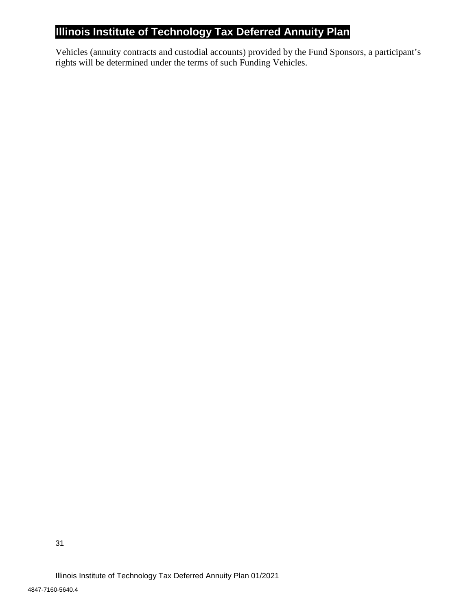Vehicles (annuity contracts and custodial accounts) provided by the Fund Sponsors, a participant's rights will be determined under the terms of such Funding Vehicles.